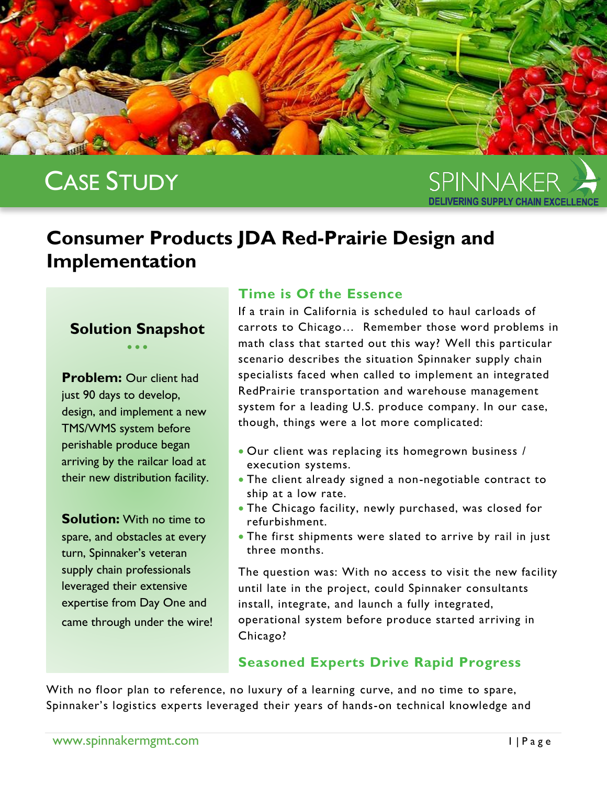

# CASE STUDY

SPINNAKER

# **Consumer Products JDA Red-Prairie Design and Implementation**

#### **Solution Snapshot**  $\bullet$   $\bullet$   $\bullet$

**Problem: Our client had** just 90 days to develop, design, and implement a new TMS/WMS system before perishable produce began arriving by the railcar load at their new distribution facility.

**Solution:** With no time to spare, and obstacles at every turn, Spinnaker's veteran supply chain professionals leveraged their extensive expertise from Day One and came through under the wire!

#### **Time is Of the Essence**

If a train in California is scheduled to haul carloads of carrots to Chicago… Remember those word problems in math class that started out this way? Well this particular scenario describes the situation Spinnaker supply chain specialists faced when called to implement an integrated RedPrairie transportation and warehouse management system for a leading U.S. produce company. In our case, though, things were a lot more complicated:

- Our client was replacing its homegrown business / execution systems.
- The client already signed a non-negotiable contract to ship at a low rate.
- The Chicago facility, newly purchased, was closed for refurbishment.
- The first shipments were slated to arrive by rail in just three months.

The question was: With no access to visit the new facility until late in the project, could Spinnaker consultants install, integrate, and launch a fully integrated, operational system before produce started arriving in Chicago?

## **Seasoned Experts Drive Rapid Progress**

With no floor plan to reference, no luxury of a learning curve, and no time to spare, Spinnaker's logistics experts leveraged their years of hands-on technical knowledge and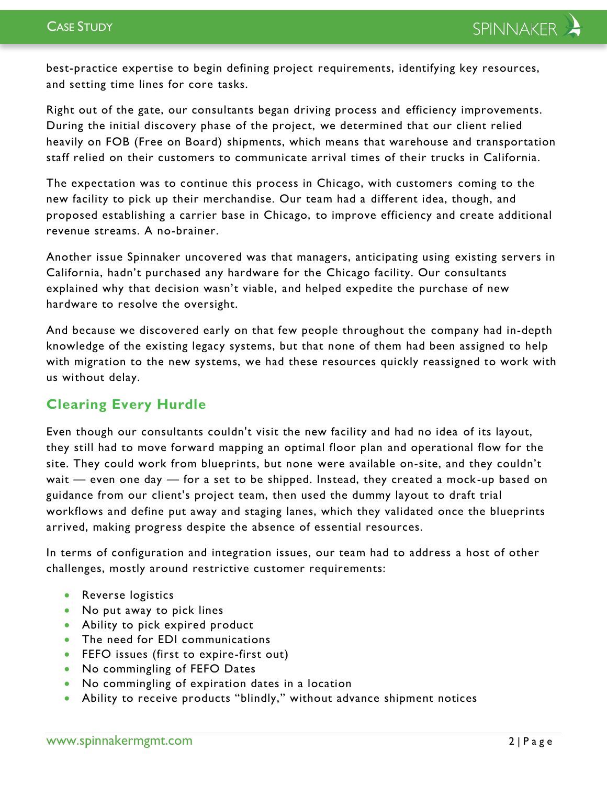best-practice expertise to begin defining project requirements, identifying key resources, and setting time lines for core tasks.

Right out of the gate, our consultants began driving process and efficiency improvements. During the initial discovery phase of the project, we determined that our client relied heavily on FOB (Free on Board) shipments, which means that warehouse and transportation staff relied on their customers to communicate arrival times of their trucks in California.

The expectation was to continue this process in Chicago, with customers coming to the new facility to pick up their merchandise. Our team had a different idea, though, and proposed establishing a carrier base in Chicago, to improve efficiency and create additional revenue streams. A no-brainer.

Another issue Spinnaker uncovered was that managers, anticipating using existing servers in California, hadn't purchased any hardware for the Chicago facility. Our consultants explained why that decision wasn't viable, and helped expedite the purchase of new hardware to resolve the oversight.

And because we discovered early on that few people throughout the company had in-depth knowledge of the existing legacy systems, but that none of them had been assigned to help with migration to the new systems, we had these resources quickly reassigned to work with us without delay.

## **Clearing Every Hurdle**

Even though our consultants couldn't visit the new facility and had no idea of its layout, they still had to move forward mapping an optimal floor plan and operational flow for the site. They could work from blueprints, but none were available on-site, and they couldn't wait — even one day — for a set to be shipped. Instead, they created a mock-up based on guidance from our client's project team, then used the dummy layout to draft trial workflows and define put away and staging lanes, which they validated once the blueprints arrived, making progress despite the absence of essential resources.

In terms of configuration and integration issues, our team had to address a host of other challenges, mostly around restrictive customer requirements:

- Reverse logistics
- No put away to pick lines
- Ability to pick expired product
- The need for EDI communications
- **•** FEFO issues (first to expire-first out)
- No commingling of FEFO Dates
- No commingling of expiration dates in a location
- Ability to receive products "blindly," without advance shipment notices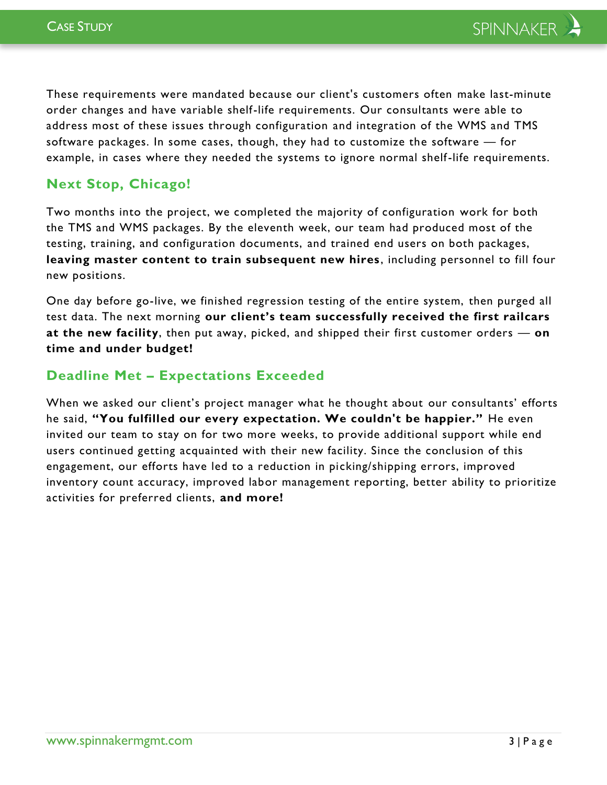These requirements were mandated because our client's customers often make last-minute order changes and have variable shelf-life requirements. Our consultants were able to address most of these issues through configuration and integration of the WMS and TMS software packages. In some cases, though, they had to customize the software — for example, in cases where they needed the systems to ignore normal shelf-life requirements.

#### **Next Stop, Chicago!**

Two months into the project, we completed the majority of configuration work for both the TMS and WMS packages. By the eleventh week, our team had produced most of the testing, training, and configuration documents, and trained end users on both packages, **leaving master content to train subsequent new hires** , including personnel to fill four new positions.

One day before go-live, we finished regression testing of the entire system, then purged all test data. The next morning **our client's team successfully received the first railcars at the new facility**, then put away, picked, and shipped their first customer orders — **on time and under budget!**

#### **Deadline Met – Expectations Exceeded**

When we asked our client's project manager what he thought about our consultants' efforts he said, **"You fulfilled our every expectation. We couldn't be happier."** He even invited our team to stay on for two more weeks, to provide additional support while end users continued getting acquainted with their new facility. Since the conclusion of this engagement, our efforts have led to a reduction in picking/shipping errors, improved inventory count accuracy, improved labor management reporting, better ability to prioritize activities for preferred clients, **and more!**